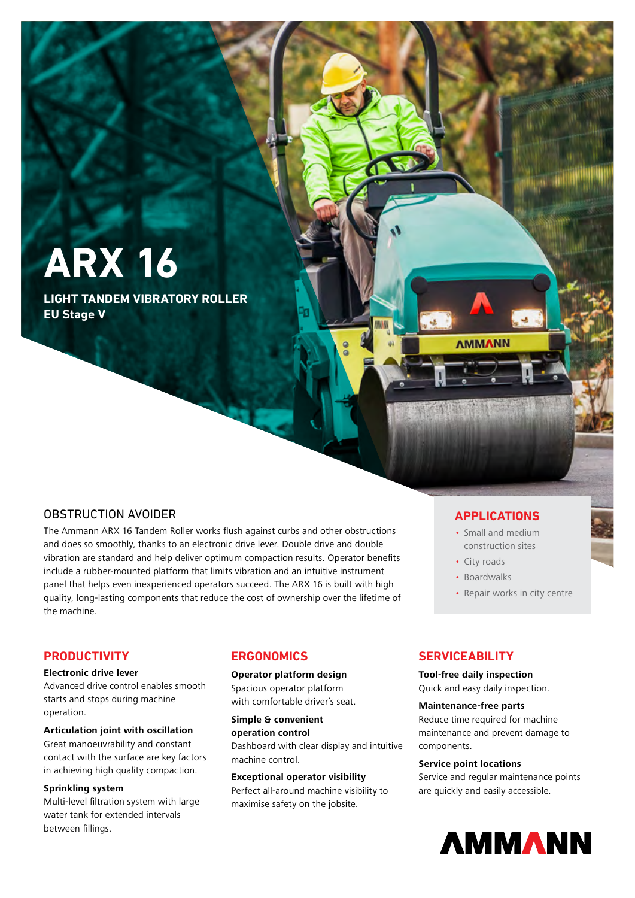# **ARX 16**

**LIGHT TANDEM VIBRATORY ROLLER EU Stage V**

# OBSTRUCTION AVOIDER

The Ammann ARX 16 Tandem Roller works flush against curbs and other obstructions and does so smoothly, thanks to an electronic drive lever. Double drive and double vibration are standard and help deliver optimum compaction results. Operator benefits include a rubber-mounted platform that limits vibration and an intuitive instrument panel that helps even inexperienced operators succeed. The ARX 16 is built with high quality, long-lasting components that reduce the cost of ownership over the lifetime of the machine.

# **APPLICATIONS**

- Small and medium construction sites
- City roads

**AMMANN** 

- Boardwalks
- Repair works in city centre

# **PRODUCTIVITY**

#### **Electronic drive lever**

Advanced drive control enables smooth starts and stops during machine operation.

# **Articulation joint with oscillation**

Great manoeuvrability and constant contact with the surface are key factors in achieving high quality compaction.

#### **Sprinkling system**

Multi-level filtration system with large water tank for extended intervals between fillings.

# **ERGONOMICS**

#### **Operator platform design**

Spacious operator platform with comfortable driver´s seat.

**Simple & convenient operation control**  Dashboard with clear display and intuitive machine control.

#### **Exceptional operator visibility**

Perfect all-around machine visibility to maximise safety on the jobsite.

# **SERVICEABILITY**

**Tool-free daily inspection** Quick and easy daily inspection.

#### **Maintenance-free parts**

Reduce time required for machine maintenance and prevent damage to components.

#### **Service point locations**

Service and regular maintenance points are quickly and easily accessible.